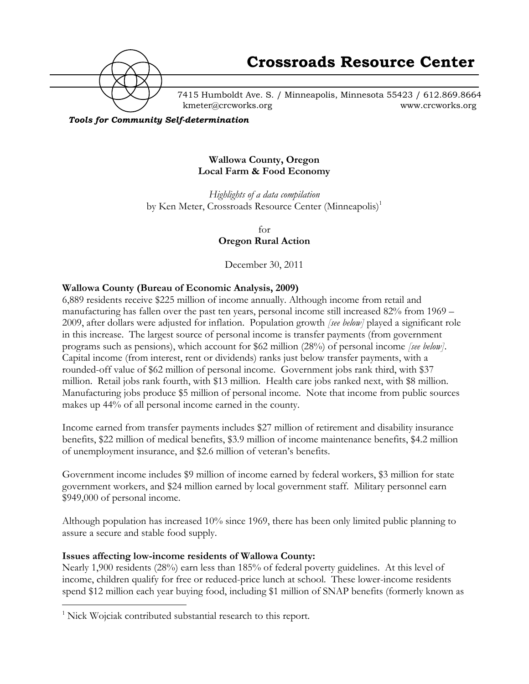

7415 Humboldt Ave. S. / Minneapolis, Minnesota 55423 / 612.869.8664 kmeter@crcworks.org www.crcworks.org

*Tools for Community Self-determination*

#### **Wallowa County, Oregon Local Farm & Food Economy**

*Highlights of a data compilation* by Ken Meter, Crossroads Resource Center (Minneapolis)<sup>1</sup>

> for **Oregon Rural Action**

December 30, 2011

### **Wallowa County (Bureau of Economic Analysis, 2009)**

6,889 residents receive \$225 million of income annually. Although income from retail and manufacturing has fallen over the past ten years, personal income still increased 82% from 1969 – 2009, after dollars were adjusted for inflation. Population growth *[see below]* played a significant role in this increase. The largest source of personal income is transfer payments (from government programs such as pensions), which account for \$62 million (28%) of personal income *[see below]*. Capital income (from interest, rent or dividends) ranks just below transfer payments, with a rounded-off value of \$62 million of personal income. Government jobs rank third, with \$37 million. Retail jobs rank fourth, with \$13 million. Health care jobs ranked next, with \$8 million. Manufacturing jobs produce \$5 million of personal income. Note that income from public sources makes up 44% of all personal income earned in the county.

Income earned from transfer payments includes \$27 million of retirement and disability insurance benefits, \$22 million of medical benefits, \$3.9 million of income maintenance benefits, \$4.2 million of unemployment insurance, and \$2.6 million of veteran's benefits.

Government income includes \$9 million of income earned by federal workers, \$3 million for state government workers, and \$24 million earned by local government staff. Military personnel earn \$949,000 of personal income.

Although population has increased 10% since 1969, there has been only limited public planning to assure a secure and stable food supply.

#### **Issues affecting low-income residents of Wallowa County:**

Nearly 1,900 residents (28%) earn less than 185% of federal poverty guidelines. At this level of income, children qualify for free or reduced-price lunch at school. These lower-income residents spend \$12 million each year buying food, including \$1 million of SNAP benefits (formerly known as

 $\frac{1}{1}$  $\frac{1}{1}$  Nick Wojciak contributed substantial research to this report.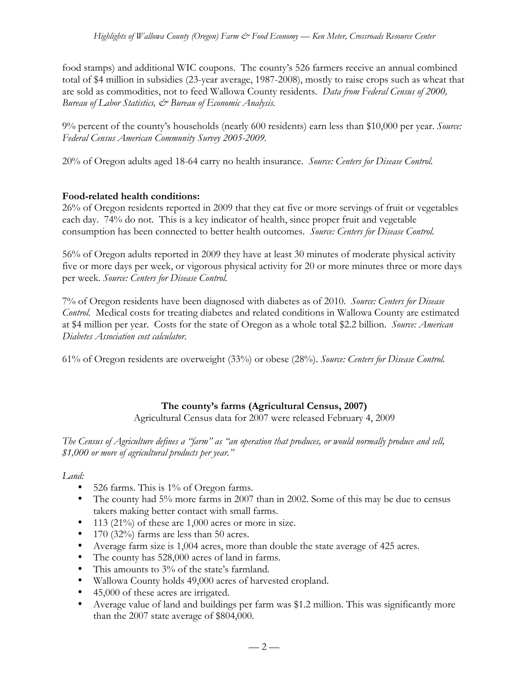food stamps) and additional WIC coupons. The county's 526 farmers receive an annual combined total of \$4 million in subsidies (23-year average, 1987-2008), mostly to raise crops such as wheat that are sold as commodities, not to feed Wallowa County residents. *Data from Federal Census of 2000, Bureau of Labor Statistics, & Bureau of Economic Analysis.*

9% percent of the county's households (nearly 600 residents) earn less than \$10,000 per year. *Source: Federal Census American Community Survey 2005-2009.*

20% of Oregon adults aged 18-64 carry no health insurance. *Source: Centers for Disease Control.*

#### **Food-related health conditions:**

26% of Oregon residents reported in 2009 that they eat five or more servings of fruit or vegetables each day. 74% do not. This is a key indicator of health, since proper fruit and vegetable consumption has been connected to better health outcomes. *Source: Centers for Disease Control.*

56% of Oregon adults reported in 2009 they have at least 30 minutes of moderate physical activity five or more days per week, or vigorous physical activity for 20 or more minutes three or more days per week. *Source: Centers for Disease Control.*

7% of Oregon residents have been diagnosed with diabetes as of 2010. *Source: Centers for Disease Control.* Medical costs for treating diabetes and related conditions in Wallowa County are estimated at \$4 million per year. Costs for the state of Oregon as a whole total \$2.2 billion. *Source: American Diabetes Association cost calculator.*

61% of Oregon residents are overweight (33%) or obese (28%). *Source: Centers for Disease Control.*

# **The county's farms (Agricultural Census, 2007)**

Agricultural Census data for 2007 were released February 4, 2009

*The Census of Agriculture defines a "farm" as "an operation that produces, or would normally produce and sell, \$1,000 or more of agricultural products per year."*

*Land:*

- 526 farms. This is 1% of Oregon farms.
- The county had 5% more farms in 2007 than in 2002. Some of this may be due to census takers making better contact with small farms.
- 113 (21%) of these are 1,000 acres or more in size.
- 170 (32%) farms are less than 50 acres.
- Average farm size is 1,004 acres, more than double the state average of 425 acres.
- The county has 528,000 acres of land in farms.
- This amounts to 3% of the state's farmland.
- Wallowa County holds 49,000 acres of harvested cropland.
- 45,000 of these acres are irrigated.
- Average value of land and buildings per farm was \$1.2 million. This was significantly more than the 2007 state average of \$804,000.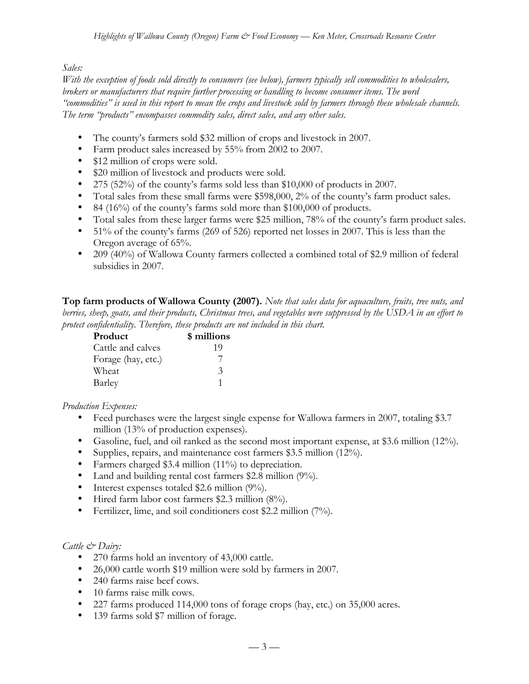# *Sales:*

*With the exception of foods sold directly to consumers (see below), farmers typically sell commodities to wholesalers, brokers or manufacturers that require further processing or handling to become consumer items. The word "commodities" is used in this report to mean the crops and livestock sold by farmers through these wholesale channels. The term "products" encompasses commodity sales, direct sales, and any other sales.*

- The county's farmers sold \$32 million of crops and livestock in 2007.
- Farm product sales increased by 55% from 2002 to 2007.
- \$12 million of crops were sold.
- \$20 million of livestock and products were sold.
- 275 (52%) of the county's farms sold less than \$10,000 of products in 2007.
- Total sales from these small farms were \$598,000, 2% of the county's farm product sales.
- 84 (16%) of the county's farms sold more than \$100,000 of products.
- Total sales from these larger farms were \$25 million, 78% of the county's farm product sales.
- 51% of the county's farms (269 of 526) reported net losses in 2007. This is less than the Oregon average of 65%.
- 209 (40%) of Wallowa County farmers collected a combined total of \$2.9 million of federal subsidies in 2007.

**Top farm products of Wallowa County (2007).** *Note that sales data for aquaculture, fruits, tree nuts, and berries, sheep, goats, and their products, Christmas trees, and vegetables were suppressed by the USDA in an effort to protect confidentiality. Therefore, these products are not included in this chart.*

| Product            | \$ millions   |
|--------------------|---------------|
| Cattle and calves  | 19            |
| Forage (hay, etc.) | 7             |
| Wheat              | $\mathcal{Z}$ |
| Barley             |               |

# *Production Expenses:*

- Feed purchases were the largest single expense for Wallowa farmers in 2007, totaling \$3.7 million (13% of production expenses).
- Gasoline, fuel, and oil ranked as the second most important expense, at \$3.6 million (12%).
- Supplies, repairs, and maintenance cost farmers \$3.5 million (12%).
- Farmers charged \$3.4 million (11%) to depreciation.
- Land and building rental cost farmers \$2.8 million (9%).
- Interest expenses totaled \$2.6 million (9%).
- Hired farm labor cost farmers \$2.3 million (8%).
- Fertilizer, lime, and soil conditioners cost \$2.2 million (7%).

# *Cattle & Dairy:*

- 270 farms hold an inventory of 43,000 cattle.
- 26,000 cattle worth \$19 million were sold by farmers in 2007.
- 240 farms raise beef cows.
- 10 farms raise milk cows.
- 227 farms produced 114,000 tons of forage crops (hay, etc.) on 35,000 acres.
- 139 farms sold \$7 million of forage.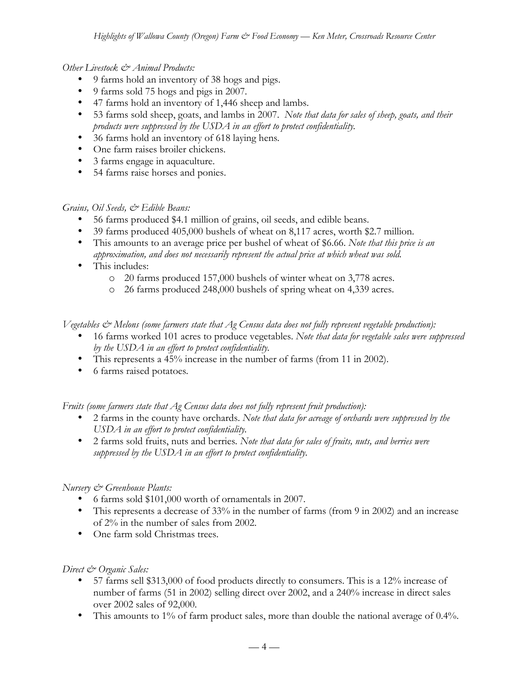### *Other Livestock & Animal Products:*

- 9 farms hold an inventory of 38 hogs and pigs.
- 9 farms sold 75 hogs and pigs in 2007.
- 47 farms hold an inventory of 1,446 sheep and lambs.
- 53 farms sold sheep, goats, and lambs in 2007. *Note that data for sales of sheep, goats, and their products were suppressed by the USDA in an effort to protect confidentiality.*
- 36 farms hold an inventory of 618 laying hens*.*
- One farm raises broiler chickens.
- 3 farms engage in aquaculture.
- 54 farms raise horses and ponies.

# *Grains, Oil Seeds, & Edible Beans:*

- 56 farms produced \$4.1 million of grains, oil seeds, and edible beans.
- 39 farms produced 405,000 bushels of wheat on 8,117 acres, worth \$2.7 million.
- This amounts to an average price per bushel of wheat of \$6.66. *Note that this price is an approximation, and does not necessarily represent the actual price at which wheat was sold.*
- This includes:
	- o 20 farms produced 157,000 bushels of winter wheat on 3,778 acres.
	- o 26 farms produced 248,000 bushels of spring wheat on 4,339 acres.

*Vegetables & Melons (some farmers state that Ag Census data does not fully represent vegetable production):*

- 16 farms worked 101 acres to produce vegetables. *Note that data for vegetable sales were suppressed by the USDA in an effort to protect confidentiality.*
- This represents a 45% increase in the number of farms (from 11 in 2002).
- 6 farms raised potatoes*.*

*Fruits (some farmers state that Ag Census data does not fully represent fruit production):*

- 2 farms in the county have orchards. *Note that data for acreage of orchards were suppressed by the USDA in an effort to protect confidentiality.*
- 2 farms sold fruits, nuts and berries*. Note that data for sales of fruits, nuts, and berries were suppressed by the USDA in an effort to protect confidentiality.*

# *Nursery & Greenhouse Plants:*

- 6 farms sold \$101,000 worth of ornamentals in 2007.
- This represents a decrease of 33% in the number of farms (from 9 in 2002) and an increase of 2% in the number of sales from 2002.
- One farm sold Christmas trees.

# *Direct & Organic Sales:*

- 57 farms sell \$313,000 of food products directly to consumers. This is a 12% increase of number of farms (51 in 2002) selling direct over 2002, and a 240% increase in direct sales over 2002 sales of 92,000.
- This amounts to 1% of farm product sales, more than double the national average of 0.4%.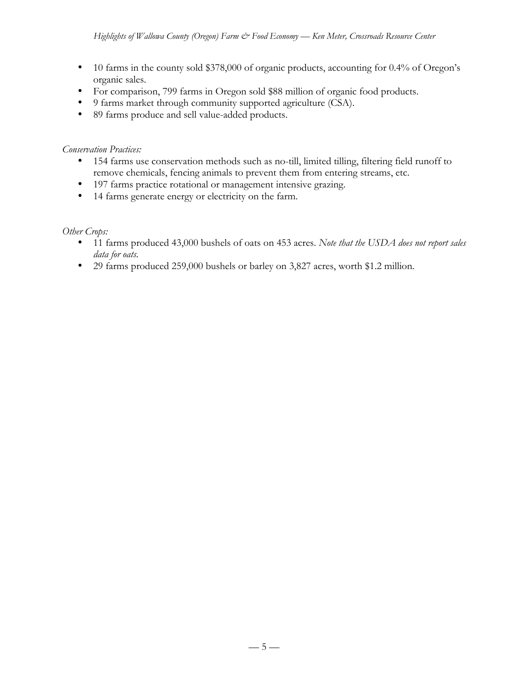- 10 farms in the county sold \$378,000 of organic products, accounting for 0.4% of Oregon's organic sales.
- For comparison, 799 farms in Oregon sold \$88 million of organic food products.
- 9 farms market through community supported agriculture (CSA).
- 89 farms produce and sell value-added products.

### *Conservation Practices:*

- 154 farms use conservation methods such as no-till, limited tilling, filtering field runoff to remove chemicals, fencing animals to prevent them from entering streams, etc.
- 197 farms practice rotational or management intensive grazing.
- 14 farms generate energy or electricity on the farm.

### *Other Crops:*

- 11 farms produced 43,000 bushels of oats on 453 acres. *Note that the USDA does not report sales data for oats.*
- 29 farms produced 259,000 bushels or barley on 3,827 acres, worth \$1.2 million.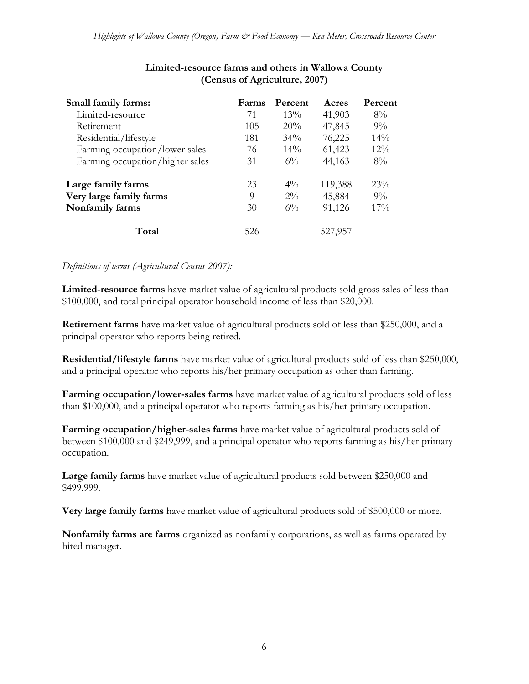| Small family farms:             | Farms | Percent | Acres   | Percent |
|---------------------------------|-------|---------|---------|---------|
| Limited-resource                | 71    | $13\%$  | 41,903  | $8\%$   |
| Retirement                      | 105   | 20%     | 47,845  | $9\%$   |
| Residential/lifestyle           | 181   | $34\%$  | 76,225  | $14\%$  |
| Farming occupation/lower sales  | 76    | $14\%$  | 61,423  | $12\%$  |
| Farming occupation/higher sales | 31    | $6\%$   | 44,163  | $8\%$   |
| Large family farms              | 23    | $4\%$   | 119,388 | $23\%$  |
| Very large family farms         | 9     | $2\%$   | 45,884  | $9\%$   |
| Nonfamily farms                 | 30    | $6\%$   | 91,126  | $17\%$  |
| Total                           | 526   |         | 527,957 |         |

# **Limited-resource farms and others in Wallowa County (Census of Agriculture, 2007)**

#### *Definitions of terms (Agricultural Census 2007):*

**Limited-resource farms** have market value of agricultural products sold gross sales of less than \$100,000, and total principal operator household income of less than \$20,000.

**Retirement farms** have market value of agricultural products sold of less than \$250,000, and a principal operator who reports being retired.

**Residential/lifestyle farms** have market value of agricultural products sold of less than \$250,000, and a principal operator who reports his/her primary occupation as other than farming.

**Farming occupation/lower-sales farms** have market value of agricultural products sold of less than \$100,000, and a principal operator who reports farming as his/her primary occupation.

**Farming occupation/higher-sales farms** have market value of agricultural products sold of between \$100,000 and \$249,999, and a principal operator who reports farming as his/her primary occupation.

**Large family farms** have market value of agricultural products sold between \$250,000 and \$499,999.

**Very large family farms** have market value of agricultural products sold of \$500,000 or more.

**Nonfamily farms are farms** organized as nonfamily corporations, as well as farms operated by hired manager.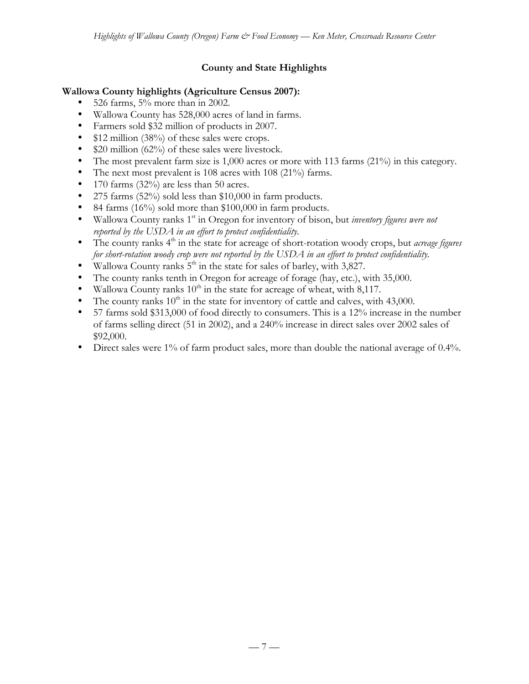# **County and State Highlights**

### **Wallowa County highlights (Agriculture Census 2007):**

- 526 farms, 5% more than in 2002.
- Wallowa County has 528,000 acres of land in farms.
- Farmers sold \$32 million of products in 2007.
- \$12 million (38%) of these sales were crops.
- \$20 million (62%) of these sales were livestock.
- The most prevalent farm size is 1,000 acres or more with 113 farms (21%) in this category.
- The next most prevalent is 108 acres with 108 (21%) farms.
- 170 farms (32%) are less than 50 acres.
- 275 farms  $(52\%)$  sold less than \$10,000 in farm products.
- 84 farms (16%) sold more than \$100,000 in farm products.
- Wallowa County ranks 1st in Oregon for inventory of bison, but *inventory figures were not reported by the USDA in an effort to protect confidentiality.*
- The county ranks 4<sup>th</sup> in the state for acreage of short-rotation woody crops, but *acreage figures for short-rotation woody crop were not reported by the USDA in an effort to protect confidentiality.*
- Wallowa County ranks  $5<sup>th</sup>$  in the state for sales of barley, with 3,827.
- The county ranks tenth in Oregon for acreage of forage (hay, etc.), with 35,000.
- Wallowa County ranks  $10^{th}$  in the state for acreage of wheat, with 8,117.
- The county ranks  $10^{th}$  in the state for inventory of cattle and calves, with 43,000.
- 57 farms sold \$313,000 of food directly to consumers. This is a 12% increase in the number of farms selling direct (51 in 2002), and a 240% increase in direct sales over 2002 sales of \$92,000.
- Direct sales were 1% of farm product sales, more than double the national average of 0.4%.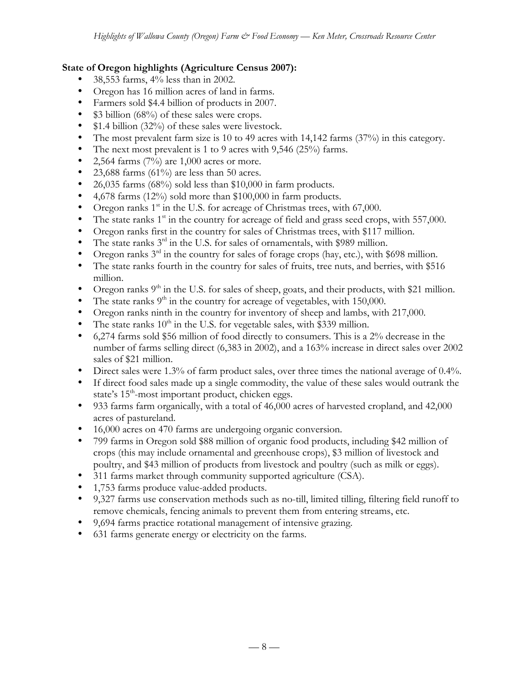### **State of Oregon highlights (Agriculture Census 2007):**

- 38,553 farms, 4% less than in 2002.
- Oregon has 16 million acres of land in farms.
- Farmers sold \$4.4 billion of products in 2007.
- \$3 billion (68%) of these sales were crops.
- \$1.4 billion (32%) of these sales were livestock.
- The most prevalent farm size is 10 to 49 acres with 14,142 farms (37%) in this category.
- The next most prevalent is 1 to 9 acres with 9,546 (25%) farms.<br>• 2.564 farms  $(7\%)$  are 1.000 acres or more.
- 2,564 farms (7%) are 1,000 acres or more.
- 23,688 farms  $(61\%)$  are less than 50 acres.
- 26,035 farms (68%) sold less than \$10,000 in farm products.
- 4,678 farms (12%) sold more than \$100,000 in farm products.
- Oregon ranks  $1<sup>st</sup>$  in the U.S. for acreage of Christmas trees, with 67,000.
- The state ranks  $1<sup>st</sup>$  in the country for acreage of field and grass seed crops, with 557,000.
- Oregon ranks first in the country for sales of Christmas trees, with \$117 million.
- The state ranks  $3<sup>rd</sup>$  in the U.S. for sales of ornamentals, with \$989 million.
- Oregon ranks  $3<sup>rd</sup>$  in the country for sales of forage crops (hay, etc.), with \$698 million.
- The state ranks fourth in the country for sales of fruits, tree nuts, and berries, with \$516 million.
- Oregon ranks  $9<sup>th</sup>$  in the U.S. for sales of sheep, goats, and their products, with \$21 million.
- The state ranks  $9<sup>th</sup>$  in the country for acreage of vegetables, with 150,000.
- Oregon ranks ninth in the country for inventory of sheep and lambs, with 217,000.
- The state ranks  $10^{th}$  in the U.S. for vegetable sales, with \$339 million.
- 6,274 farms sold \$56 million of food directly to consumers. This is a 2% decrease in the number of farms selling direct (6,383 in 2002), and a 163% increase in direct sales over 2002 sales of \$21 million.
- Direct sales were 1.3% of farm product sales, over three times the national average of 0.4%.
- If direct food sales made up a single commodity, the value of these sales would outrank the state's  $15<sup>th</sup>$ -most important product, chicken eggs.
- 933 farms farm organically, with a total of 46,000 acres of harvested cropland, and 42,000 acres of pastureland.
- 16,000 acres on 470 farms are undergoing organic conversion.
- 799 farms in Oregon sold \$88 million of organic food products, including \$42 million of crops (this may include ornamental and greenhouse crops), \$3 million of livestock and poultry, and \$43 million of products from livestock and poultry (such as milk or eggs).
- 311 farms market through community supported agriculture (CSA).
- 1,753 farms produce value-added products.
- 9,327 farms use conservation methods such as no-till, limited tilling, filtering field runoff to remove chemicals, fencing animals to prevent them from entering streams, etc.
- 9,694 farms practice rotational management of intensive grazing.
- 631 farms generate energy or electricity on the farms.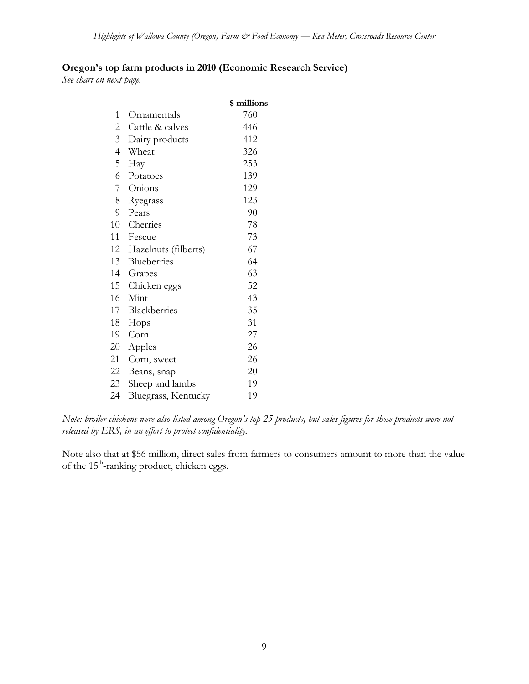## **Oregon's top farm products in 2010 (Economic Research Service)**

*See chart on next page.*

|                |                      | \$ millions |
|----------------|----------------------|-------------|
| 1              | Ornamentals          | 760         |
| $\mathbf{2}$   | Cattle & calves      | 446         |
| 3              | Dairy products       | 412         |
| $\overline{4}$ | Wheat                | 326         |
| 5              | Hay                  | 253         |
| 6              | Potatoes             | 139         |
| 7              | Onions               | 129         |
| 8              | Ryegrass             | 123         |
| 9              | Pears                | 90          |
| 10             | Cherries             | 78          |
| 11             | Fescue               | 73          |
| 12             | Hazelnuts (filberts) | 67          |
| 13             | Blueberries          | 64          |
| 14             | Grapes               | 63          |
| 15             | Chicken eggs         | 52          |
| 16             | Mint                 | 43          |
| 17             | Blackberries         | 35          |
| 18             | Hops                 | 31          |
| 19             | Corn                 | 27          |
| 20             | Apples               | 26          |
| 21             | Corn, sweet          | 26          |
| 22             | Beans, snap          | 20          |
| 23             | Sheep and lambs      | 19          |
| 24             | Bluegrass, Kentucky  | 19          |

*Note: broiler chickens were also listed among Oregon's top 25 products, but sales figures for these products were not released by ERS, in an effort to protect confidentiality.*

Note also that at \$56 million, direct sales from farmers to consumers amount to more than the value of the 15<sup>th</sup>-ranking product, chicken eggs.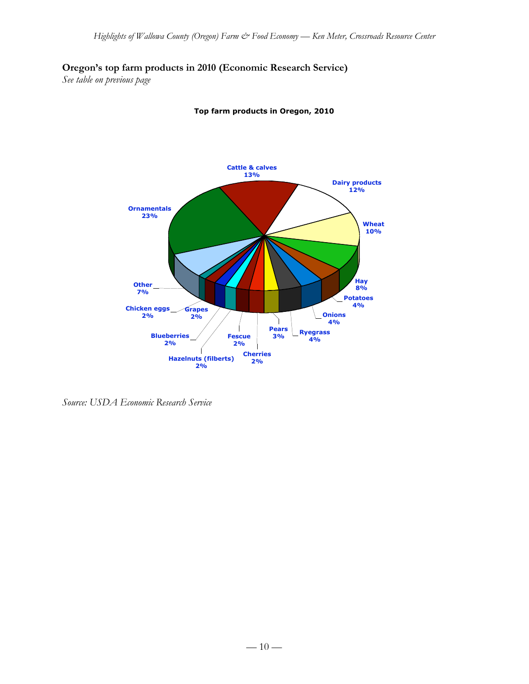# **Oregon's top farm products in 2010 (Economic Research Service)**

*See table on previous page*



**Top farm products in Oregon, 2010**

*Source: USDA Economic Research Service*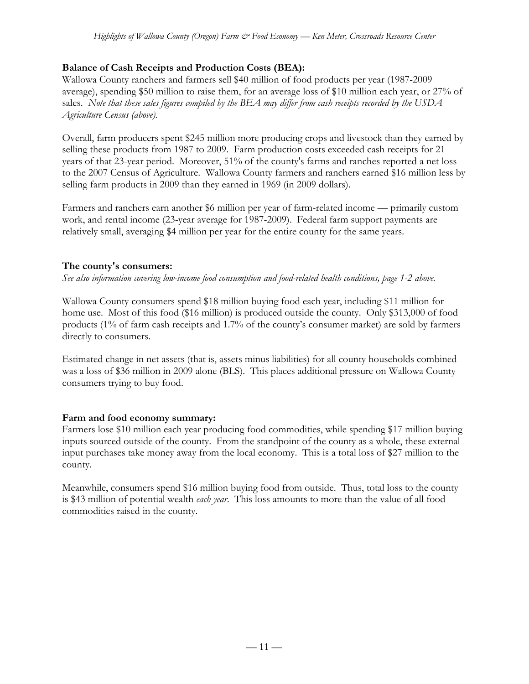## **Balance of Cash Receipts and Production Costs (BEA):**

Wallowa County ranchers and farmers sell \$40 million of food products per year (1987-2009 average), spending \$50 million to raise them, for an average loss of \$10 million each year, or 27% of sales. *Note that these sales figures compiled by the BEA may differ from cash receipts recorded by the USDA Agriculture Census (above).*

Overall, farm producers spent \$245 million more producing crops and livestock than they earned by selling these products from 1987 to 2009. Farm production costs exceeded cash receipts for 21 years of that 23-year period. Moreover, 51% of the county's farms and ranches reported a net loss to the 2007 Census of Agriculture. Wallowa County farmers and ranchers earned \$16 million less by selling farm products in 2009 than they earned in 1969 (in 2009 dollars).

Farmers and ranchers earn another \$6 million per year of farm-related income — primarily custom work, and rental income (23-year average for 1987-2009). Federal farm support payments are relatively small, averaging \$4 million per year for the entire county for the same years.

### **The county's consumers:**

*See also information covering low-income food consumption and food-related health conditions, page 1-2 above.*

Wallowa County consumers spend \$18 million buying food each year, including \$11 million for home use. Most of this food (\$16 million) is produced outside the county. Only \$313,000 of food products (1% of farm cash receipts and 1.7% of the county's consumer market) are sold by farmers directly to consumers.

Estimated change in net assets (that is, assets minus liabilities) for all county households combined was a loss of \$36 million in 2009 alone (BLS). This places additional pressure on Wallowa County consumers trying to buy food.

#### **Farm and food economy summary:**

Farmers lose \$10 million each year producing food commodities, while spending \$17 million buying inputs sourced outside of the county. From the standpoint of the county as a whole, these external input purchases take money away from the local economy. This is a total loss of \$27 million to the county.

Meanwhile, consumers spend \$16 million buying food from outside. Thus, total loss to the county is \$43 million of potential wealth *each year*. This loss amounts to more than the value of all food commodities raised in the county.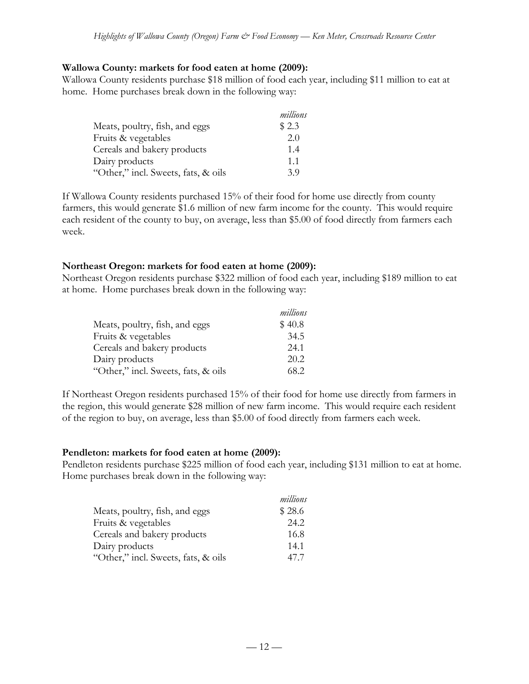#### **Wallowa County: markets for food eaten at home (2009):**

Wallowa County residents purchase \$18 million of food each year, including \$11 million to eat at home. Home purchases break down in the following way:

|                                     | millions |
|-------------------------------------|----------|
| Meats, poultry, fish, and eggs      | \$2.3    |
| Fruits & vegetables                 | 2.0      |
| Cereals and bakery products         | 1.4      |
| Dairy products                      | 1.1      |
| "Other," incl. Sweets, fats, & oils | 39       |

If Wallowa County residents purchased 15% of their food for home use directly from county farmers, this would generate \$1.6 million of new farm income for the county. This would require each resident of the county to buy, on average, less than \$5.00 of food directly from farmers each week.

#### **Northeast Oregon: markets for food eaten at home (2009):**

Northeast Oregon residents purchase \$322 million of food each year, including \$189 million to eat at home. Home purchases break down in the following way:

|                                     | millions |
|-------------------------------------|----------|
| Meats, poultry, fish, and eggs      | \$40.8   |
| Fruits & vegetables                 | 34.5     |
| Cereals and bakery products         | 24.1     |
| Dairy products                      | 20.2     |
| "Other," incl. Sweets, fats, & oils | 68.2     |

If Northeast Oregon residents purchased 15% of their food for home use directly from farmers in the region, this would generate \$28 million of new farm income. This would require each resident of the region to buy, on average, less than \$5.00 of food directly from farmers each week.

#### **Pendleton: markets for food eaten at home (2009):**

Pendleton residents purchase \$225 million of food each year, including \$131 million to eat at home. Home purchases break down in the following way:

|                                     | millions |
|-------------------------------------|----------|
| Meats, poultry, fish, and eggs      | \$28.6   |
| Fruits & vegetables                 | 24.2     |
| Cereals and bakery products         | 16.8     |
| Dairy products                      | 14.1     |
| "Other," incl. Sweets, fats, & oils | 47.7     |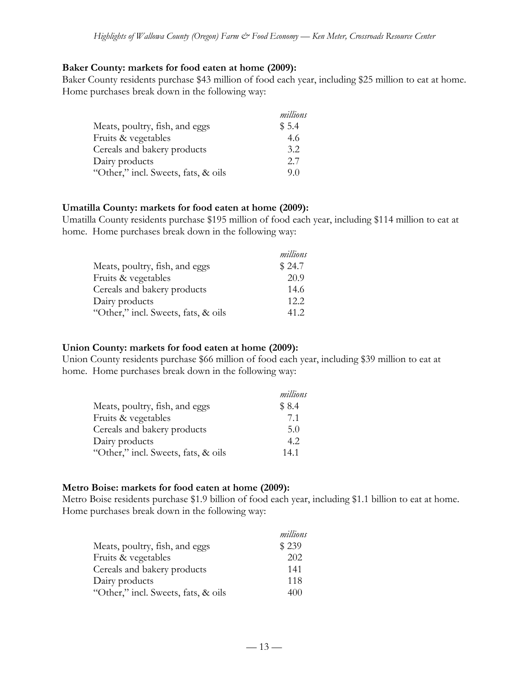#### **Baker County: markets for food eaten at home (2009):**

Baker County residents purchase \$43 million of food each year, including \$25 million to eat at home. Home purchases break down in the following way:

|                                     | millions |
|-------------------------------------|----------|
| Meats, poultry, fish, and eggs      | \$5.4    |
| Fruits & vegetables                 | 4.6      |
| Cereals and bakery products         | 3.2      |
| Dairy products                      | 2.7      |
| "Other," incl. Sweets, fats, & oils | 90       |

#### **Umatilla County: markets for food eaten at home (2009):**

Umatilla County residents purchase \$195 million of food each year, including \$114 million to eat at home. Home purchases break down in the following way:

|                                     | millions |
|-------------------------------------|----------|
| Meats, poultry, fish, and eggs      | \$24.7   |
| Fruits & vegetables                 | 20.9     |
| Cereals and bakery products         | 14.6     |
| Dairy products                      | 12.2.    |
| "Other," incl. Sweets, fats, & oils | 41.2     |

#### **Union County: markets for food eaten at home (2009):**

Union County residents purchase \$66 million of food each year, including \$39 million to eat at home. Home purchases break down in the following way:

|                                     | millions |
|-------------------------------------|----------|
| Meats, poultry, fish, and eggs      | \$8.4    |
| Fruits & vegetables                 | 71       |
| Cereals and bakery products         | 5.0      |
| Dairy products                      | 4.2      |
| "Other," incl. Sweets, fats, & oils | 14.1     |

#### **Metro Boise: markets for food eaten at home (2009):**

Metro Boise residents purchase \$1.9 billion of food each year, including \$1.1 billion to eat at home. Home purchases break down in the following way:

|                                     | millions |
|-------------------------------------|----------|
| Meats, poultry, fish, and eggs      | \$239    |
| Fruits & vegetables                 | 202      |
| Cereals and bakery products         | 141      |
| Dairy products                      | 118      |
| "Other," incl. Sweets, fats, & oils | 400      |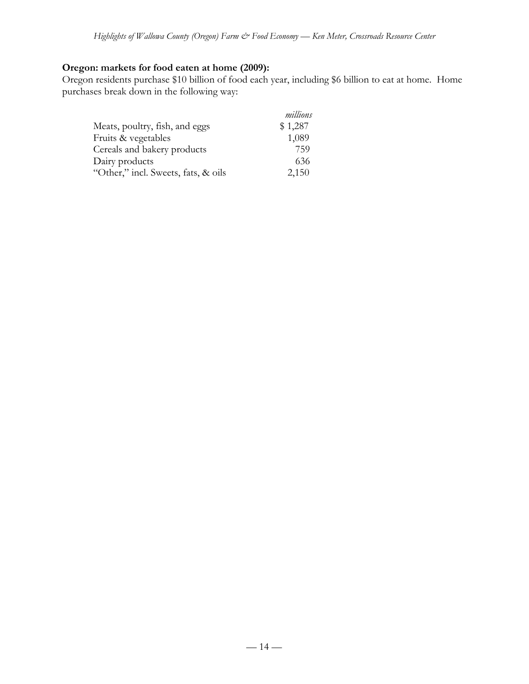# **Oregon: markets for food eaten at home (2009):**

Oregon residents purchase \$10 billion of food each year, including \$6 billion to eat at home. Home purchases break down in the following way:

|                                     | millions |
|-------------------------------------|----------|
| Meats, poultry, fish, and eggs      | \$1,287  |
| Fruits & vegetables                 | 1,089    |
| Cereals and bakery products         | 759      |
| Dairy products                      | 636      |
| "Other," incl. Sweets, fats, & oils | 2,150    |